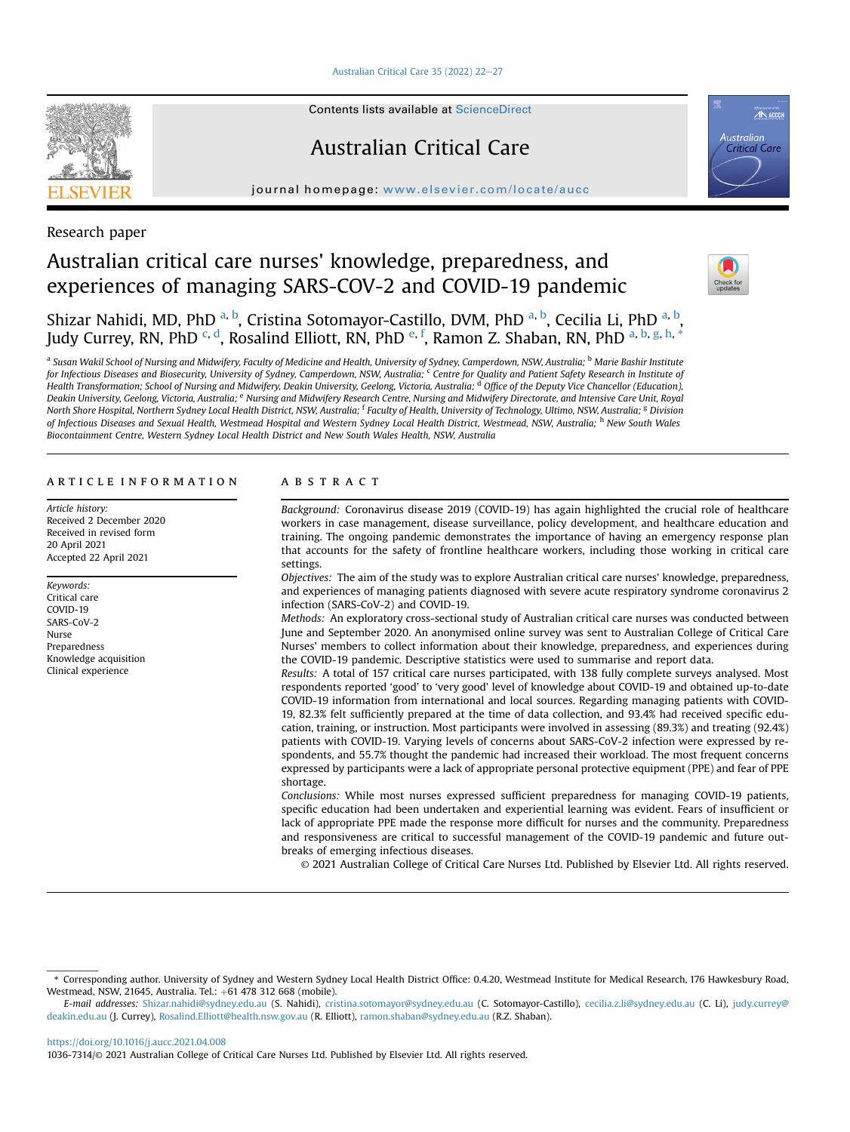[Australian Critical Care 35 \(2022\) 22](https://doi.org/10.1016/j.aucc.2021.04.008)-[27](https://doi.org/10.1016/j.aucc.2021.04.008)



Contents lists available at ScienceDirect

## Australian Critical Care

journal homepage: <www.elsevier.com/locate/aucc>



## Research paper

# Australian critical care nurses' knowledge, preparedness, and experiences of managing SARS-COV-2 and COVID-19 pandemic



Shiz[a](#page-0-0)r Nahidi, MD, PhD <sup>a, [b](#page-0-0)</sup>, Cristina Sotomayor-Castillo, DVM, PhD <sup>[a,](#page-0-0) b</sup>, Cecilia Li, PhD <sup>a, b</sup>, Judy Currey, RN, PhD <sup>[c,](#page-0-1) [d](#page-0-2)</sup>, Rosalind Elliott, RN, PhD <sup>[e,](#page-0-3) [f](#page-0-4)</sup>, R[a](#page-0-0)mon Z. Shaban, RN, PhD <sup>a, [b,](#page-0-0) [g](#page-0-4), [h](#page-0-5), [\\*](#page-0-6)</sup>

<span id="page-0-4"></span><span id="page-0-3"></span><span id="page-0-2"></span><span id="page-0-1"></span><span id="page-0-0"></span>a Susan Wakil School of Nursing and Midwifery, Faculty of Medicine and Health, University of Sydney, Camperdown, NSW, Australia; <sup>b</sup> Marie Bashir Institute for Infectious Diseases and Biosecurity, University of Sydney, Camperdown, NSW, Australia; Centre for Quality and Patient Safety Research in Institute of Health Transformation; School of Nursing and Midwifery, Deakin University, Geelong, Victoria, Australia; <sup>d</sup> Office of the Deputy Vice Chancellor (Education), Deakin University, Geelong, Victoria, Australia; e Nursing and Midwifery Research Centre, Nursing and Midwifery Directorate, and Intensive Care Unit, Royal North Shore Hospital, Northern Sydney Local Health District, NSW, Australia; <sup>f</sup> Faculty of Health, University of Technology, Ultimo, NSW, Australia; <sup>g</sup> Division of Infectious Diseases and Sexual Health, Westmead Hospital and Western Sydney Local Health District, Westmead, NSW, Australia; <sup>h</sup> New South Wales Biocontainment Centre, Western Sydney Local Health District and New South Wales Health, NSW, Australia

## <span id="page-0-5"></span>article information

Article history: Received 2 December 2020 Received in revised form 20 April 2021 Accepted 22 April 2021

Keywords: Critical care COVID-19 SARS-CoV-2 Nurse Preparedness Knowledge acquisition Clinical experience

## **ABSTRACT**

Background: Coronavirus disease 2019 (COVID-19) has again highlighted the crucial role of healthcare workers in case management, disease surveillance, policy development, and healthcare education and training. The ongoing pandemic demonstrates the importance of having an emergency response plan that accounts for the safety of frontline healthcare workers, including those working in critical care settings.

Objectives: The aim of the study was to explore Australian critical care nurses' knowledge, preparedness, and experiences of managing patients diagnosed with severe acute respiratory syndrome coronavirus 2 infection (SARS-CoV-2) and COVID-19.

Methods: An exploratory cross-sectional study of Australian critical care nurses was conducted between June and September 2020. An anonymised online survey was sent to Australian College of Critical Care Nurses' members to collect information about their knowledge, preparedness, and experiences during the COVID-19 pandemic. Descriptive statistics were used to summarise and report data.

Results: A total of 157 critical care nurses participated, with 138 fully complete surveys analysed. Most respondents reported 'good' to 'very good' level of knowledge about COVID-19 and obtained up-to-date COVID-19 information from international and local sources. Regarding managing patients with COVID-19, 82.3% felt sufficiently prepared at the time of data collection, and 93.4% had received specific education, training, or instruction. Most participants were involved in assessing (89.3%) and treating (92.4%) patients with COVID-19. Varying levels of concerns about SARS-CoV-2 infection were expressed by respondents, and 55.7% thought the pandemic had increased their workload. The most frequent concerns expressed by participants were a lack of appropriate personal protective equipment (PPE) and fear of PPE shortage.

Conclusions: While most nurses expressed sufficient preparedness for managing COVID-19 patients, specific education had been undertaken and experiential learning was evident. Fears of insufficient or lack of appropriate PPE made the response more difficult for nurses and the community. Preparedness and responsiveness are critical to successful management of the COVID-19 pandemic and future outbreaks of emerging infectious diseases.

© 2021 Australian College of Critical Care Nurses Ltd. Published by Elsevier Ltd. All rights reserved.

<https://doi.org/10.1016/j.aucc.2021.04.008>

<span id="page-0-6"></span><sup>\*</sup> Corresponding author. University of Sydney and Western Sydney Local Health District Office: 0.4.20, Westmead Institute for Medical Research, 176 Hawkesbury Road, Westmead, NSW, 21645, Australia. Tel.: +61 478 312 668 (mobile).

E-mail addresses: [Shizar.nahidi@sydney.edu.au](mailto:Shizar.nahidi@sydney.edu.au) (S. Nahidi), [cristina.sotomayor@sydney.edu.au](mailto:cristina.sotomayor@sydney.edu.au) (C. Sotomayor-Castillo), [cecilia.z.li@sydney.edu.au](mailto:cecilia.z.li@sydney.edu.au) (C. Li), [judy.currey@](mailto:judy.currey@deakin.edu.au) [deakin.edu.au](mailto:judy.currey@deakin.edu.au) (J. Currey), [Rosalind.Elliott@health.nsw.gov.au](mailto:Rosalind.Elliott@health.nsw.gov.au) (R. Elliott), [ramon.shaban@sydney.edu.au](mailto:ramon.shaban@sydney.edu.au) (R.Z. Shaban).

<sup>1036-7314/</sup>© 2021 Australian College of Critical Care Nurses Ltd. Published by Elsevier Ltd. All rights reserved.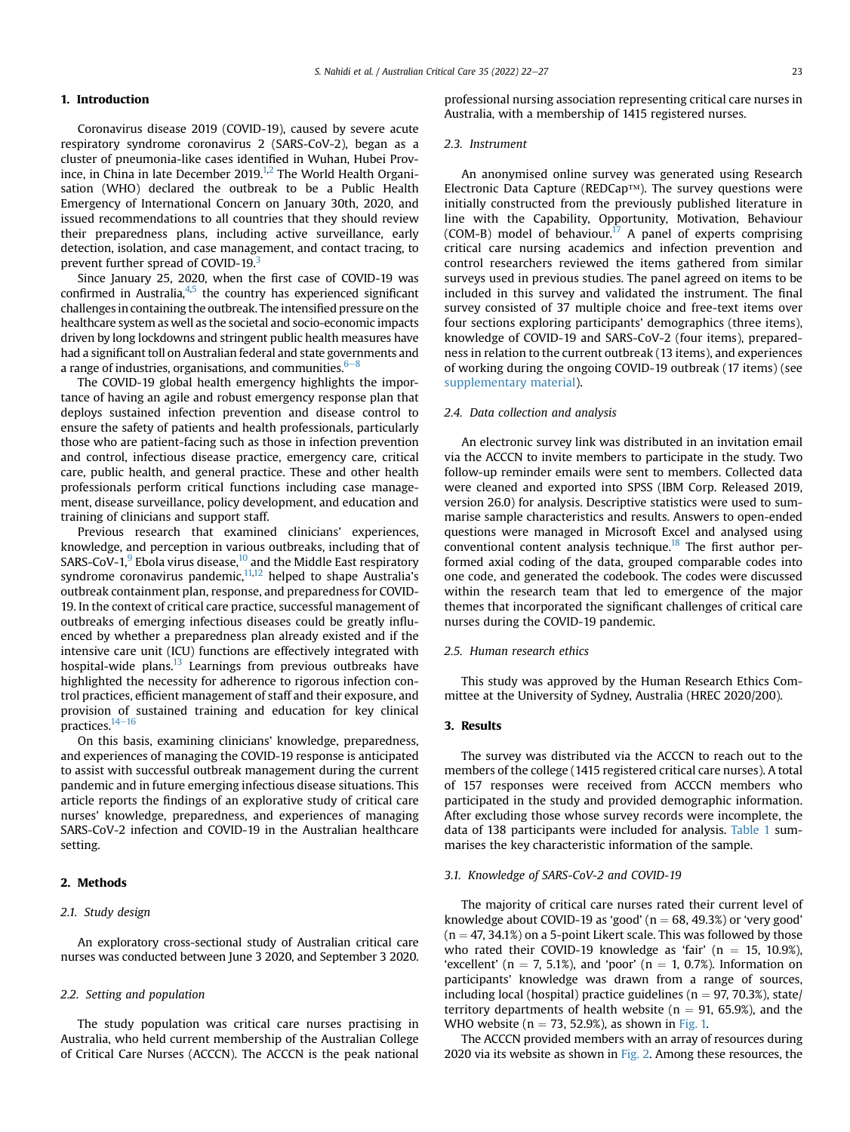## 1. Introduction

Coronavirus disease 2019 (COVID-19), caused by severe acute respiratory syndrome coronavirus 2 (SARS-CoV-2), began as a cluster of pneumonia-like cases identified in Wuhan, Hubei Prov-ince, in China in late December 2019.<sup>1[,2](#page-5-1)</sup> The World Health Organisation (WHO) declared the outbreak to be a Public Health Emergency of International Concern on January 30th, 2020, and issued recommendations to all countries that they should review their preparedness plans, including active surveillance, early detection, isolation, and case management, and contact tracing, to prevent further spread of COVID-19.<sup>3</sup>

Since January 25, 2020, when the first case of COVID-19 was confirmed in Australia, $4,5$  $4,5$  $4,5$  the country has experienced significant challenges in containing the outbreak. The intensified pressure on the healthcare system as well as the societal and socio-economic impacts driven by long lockdowns and stringent public health measures have had a significant toll on Australian federal and state governments and a range of industries, organisations, and communities.  $6-8$  $6-8$ 

The COVID-19 global health emergency highlights the importance of having an agile and robust emergency response plan that deploys sustained infection prevention and disease control to ensure the safety of patients and health professionals, particularly those who are patient-facing such as those in infection prevention and control, infectious disease practice, emergency care, critical care, public health, and general practice. These and other health professionals perform critical functions including case management, disease surveillance, policy development, and education and training of clinicians and support staff.

Previous research that examined clinicians' experiences, knowledge, and perception in various outbreaks, including that of SARS-CoV-1, $^{9}$  Ebola virus disease, $^{10}$  and the Middle East respiratory syndrome coronavirus pandemic, $11,12$  $11,12$  helped to shape Australia's outbreak containment plan, response, and preparedness for COVID-19. In the context of critical care practice, successful management of outbreaks of emerging infectious diseases could be greatly influenced by whether a preparedness plan already existed and if the intensive care unit (ICU) functions are effectively integrated with hospital-wide plans. $^{13}$  $^{13}$  $^{13}$  Learnings from previous outbreaks have highlighted the necessity for adherence to rigorous infection control practices, efficient management of staff and their exposure, and provision of sustained training and education for key clinical practices. $14-16$  $14-16$  $14-16$ 

On this basis, examining clinicians' knowledge, preparedness, and experiences of managing the COVID-19 response is anticipated to assist with successful outbreak management during the current pandemic and in future emerging infectious disease situations. This article reports the findings of an explorative study of critical care nurses' knowledge, preparedness, and experiences of managing SARS-CoV-2 infection and COVID-19 in the Australian healthcare setting.

## 2. Methods

## 2.1. Study design

An exploratory cross-sectional study of Australian critical care nurses was conducted between June 3 2020, and September 3 2020.

## 2.2. Setting and population

The study population was critical care nurses practising in Australia, who held current membership of the Australian College of Critical Care Nurses (ACCCN). The ACCCN is the peak national professional nursing association representing critical care nurses in Australia, with a membership of 1415 registered nurses.

## 2.3. Instrument

An anonymised online survey was generated using Research Electronic Data Capture (REDCap™). The survey questions were initially constructed from the previously published literature in line with the Capability, Opportunity, Motivation, Behaviour (COM-B) model of behaviour.<sup>17</sup> A panel of experts comprising critical care nursing academics and infection prevention and control researchers reviewed the items gathered from similar surveys used in previous studies. The panel agreed on items to be included in this survey and validated the instrument. The final survey consisted of 37 multiple choice and free-text items over four sections exploring participants' demographics (three items), knowledge of COVID-19 and SARS-CoV-2 (four items), preparedness in relation to the current outbreak (13 items), and experiences of working during the ongoing COVID-19 outbreak (17 items) (see supplementary material).

#### 2.4. Data collection and analysis

An electronic survey link was distributed in an invitation email via the ACCCN to invite members to participate in the study. Two follow-up reminder emails were sent to members. Collected data were cleaned and exported into SPSS (IBM Corp. Released 2019, version 26.0) for analysis. Descriptive statistics were used to summarise sample characteristics and results. Answers to open-ended questions were managed in Microsoft Excel and analysed using conventional content analysis technique.<sup>18</sup> The first author performed axial coding of the data, grouped comparable codes into one code, and generated the codebook. The codes were discussed within the research team that led to emergence of the major themes that incorporated the significant challenges of critical care nurses during the COVID-19 pandemic.

#### 2.5. Human research ethics

This study was approved by the Human Research Ethics Committee at the University of Sydney, Australia (HREC 2020/200).

## 3. Results

The survey was distributed via the ACCCN to reach out to the members of the college (1415 registered critical care nurses). A total of 157 responses were received from ACCCN members who participated in the study and provided demographic information. After excluding those whose survey records were incomplete, the data of 138 participants were included for analysis. [Table 1](#page-2-0) summarises the key characteristic information of the sample.

## 3.1. Knowledge of SARS-CoV-2 and COVID-19

The majority of critical care nurses rated their current level of knowledge about COVID-19 as 'good' ( $n = 68, 49.3\%$ ) or 'very good'  $(n = 47, 34.1%)$  on a 5-point Likert scale. This was followed by those who rated their COVID-19 knowledge as 'fair' ( $n = 15, 10.9\%$ ), 'excellent' ( $n = 7, 5.1\%$ ), and 'poor' ( $n = 1, 0.7\%$ ). Information on participants' knowledge was drawn from a range of sources, including local (hospital) practice guidelines ( $n = 97, 70.3\%$ ), state/ territory departments of health website ( $n = 91, 65.9\%$ ), and the WHO website ( $n = 73$ , 52.9%), as shown in [Fig. 1.](#page-2-1)

The ACCCN provided members with an array of resources during 2020 via its website as shown in [Fig. 2](#page-3-0). Among these resources, the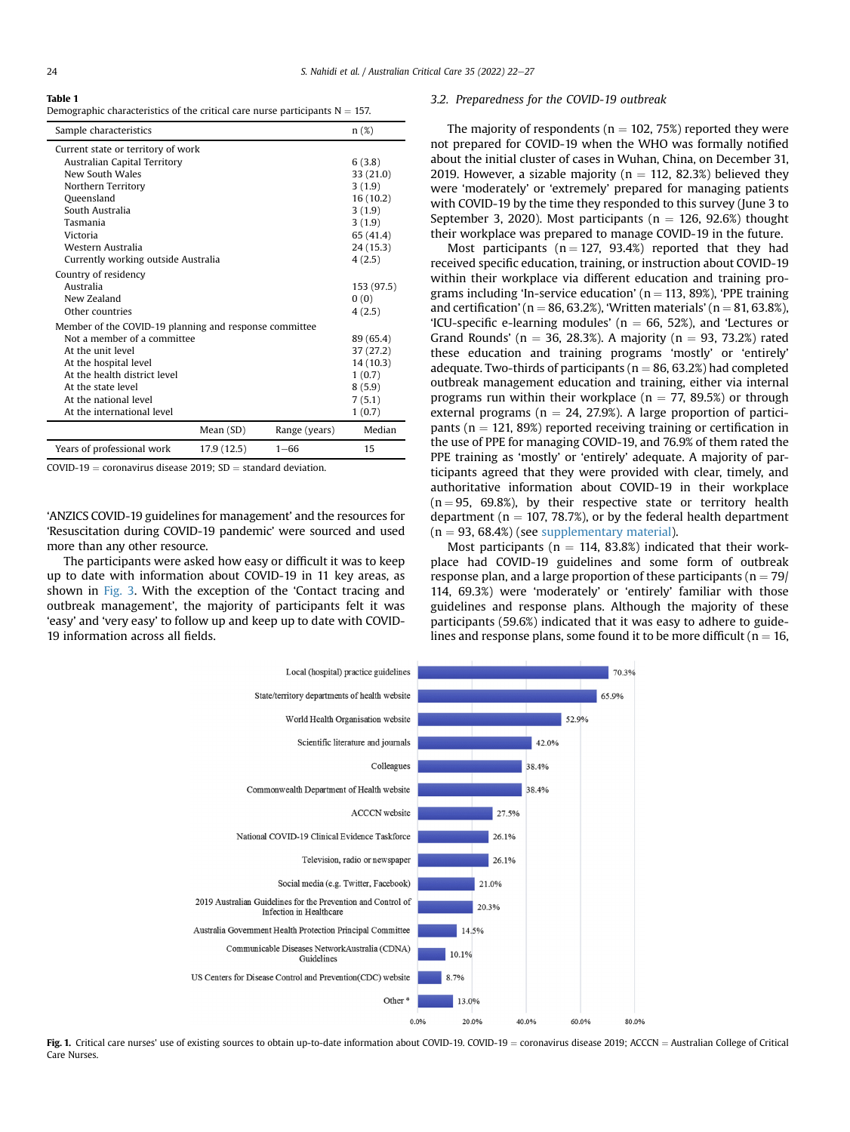<span id="page-2-0"></span>Table 1

Demographic characteristics of the critical care nurse participants  $N = 157$ .

| Sample characteristics                                 |             |               | n(%)       |
|--------------------------------------------------------|-------------|---------------|------------|
| Current state or territory of work                     |             |               |            |
| Australian Capital Territory                           |             |               | 6(3.8)     |
| New South Wales                                        |             |               | 33(21.0)   |
| Northern Territory                                     |             |               | 3(1.9)     |
| Queensland                                             |             |               | 16(10.2)   |
| South Australia                                        |             |               | 3(1.9)     |
| Tasmania                                               |             |               | 3(1.9)     |
| Victoria                                               |             |               | 65 (41.4)  |
| Western Australia                                      |             |               | 24 (15.3)  |
| Currently working outside Australia                    |             |               | 4(2.5)     |
| Country of residency                                   |             |               |            |
| Australia                                              |             |               | 153 (97.5) |
| New Zealand                                            |             |               | 0(0)       |
| Other countries                                        |             |               | 4(2.5)     |
| Member of the COVID-19 planning and response committee |             |               |            |
| Not a member of a committee                            |             |               | 89 (65.4)  |
| At the unit level                                      |             |               | 37 (27.2)  |
| At the hospital level                                  |             |               | 14 (10.3)  |
| At the health district level                           |             |               | 1(0.7)     |
| At the state level                                     |             |               | 8(5.9)     |
| At the national level                                  |             |               | 7(5.1)     |
| At the international level                             |             |               | 1(0.7)     |
|                                                        | Mean (SD)   | Range (years) | Median     |
| Years of professional work                             | 17.9 (12.5) | $1 - 66$      | 15         |

 $COVID-19 =$  coronavirus disease 2019:  $SD =$  standard deviation.

'ANZICS COVID-19 guidelines for management' and the resources for 'Resuscitation during COVID-19 pandemic' were sourced and used more than any other resource.

<span id="page-2-1"></span>The participants were asked how easy or difficult it was to keep up to date with information about COVID-19 in 11 key areas, as shown in [Fig. 3](#page-3-1). With the exception of the 'Contact tracing and outbreak management', the majority of participants felt it was 'easy' and 'very easy' to follow up and keep up to date with COVID-19 information across all fields.

### 3.2. Preparedness for the COVID-19 outbreak

The majority of respondents ( $n = 102, 75\%$ ) reported they were not prepared for COVID-19 when the WHO was formally notified about the initial cluster of cases in Wuhan, China, on December 31, 2019. However, a sizable majority ( $n = 112, 82.3\%$ ) believed they were 'moderately' or 'extremely' prepared for managing patients with COVID-19 by the time they responded to this survey (June 3 to September 3, 2020). Most participants ( $n = 126, 92.6\%$ ) thought their workplace was prepared to manage COVID-19 in the future.

Most participants ( $n = 127$ , 93.4%) reported that they had received specific education, training, or instruction about COVID-19 within their workplace via different education and training programs including 'In-service education' ( $n = 113, 89\%$ ), 'PPE training and certification' (n = 86, 63.2%), 'Written materials' (n = 81, 63.8%), 'ICU-specific e-learning modules' ( $n = 66, 52\%$ ), and 'Lectures or Grand Rounds' ( $n = 36, 28.3\%$ ). A majority ( $n = 93, 73.2\%$ ) rated these education and training programs 'mostly' or 'entirely' adequate. Two-thirds of participants ( $n = 86, 63.2%$ ) had completed outbreak management education and training, either via internal programs run within their workplace ( $n = 77$ , 89.5%) or through external programs ( $n = 24$ , 27.9%). A large proportion of participants ( $n = 121$ , 89%) reported receiving training or certification in the use of PPE for managing COVID-19, and 76.9% of them rated the PPE training as 'mostly' or 'entirely' adequate. A majority of participants agreed that they were provided with clear, timely, and authoritative information about COVID-19 in their workplace  $(n = 95, 69.8\%)$ , by their respective state or territory health department ( $n = 107, 78.7\%)$ , or by the federal health department  $(n = 93, 68.4%)$  (see supplementary material).

Most participants ( $n = 114, 83.8%$ ) indicated that their workplace had COVID-19 guidelines and some form of outbreak response plan, and a large proportion of these participants ( $n = 79/$ 114, 69.3%) were 'moderately' or 'entirely' familiar with those guidelines and response plans. Although the majority of these participants (59.6%) indicated that it was easy to adhere to guidelines and response plans, some found it to be more difficult ( $n = 16$ ,



Fig. 1. Critical care nurses' use of existing sources to obtain up-to-date information about COVID-19. COVID-19 = coronavirus disease 2019; ACCCN = Australian College of Critical Care Nurses.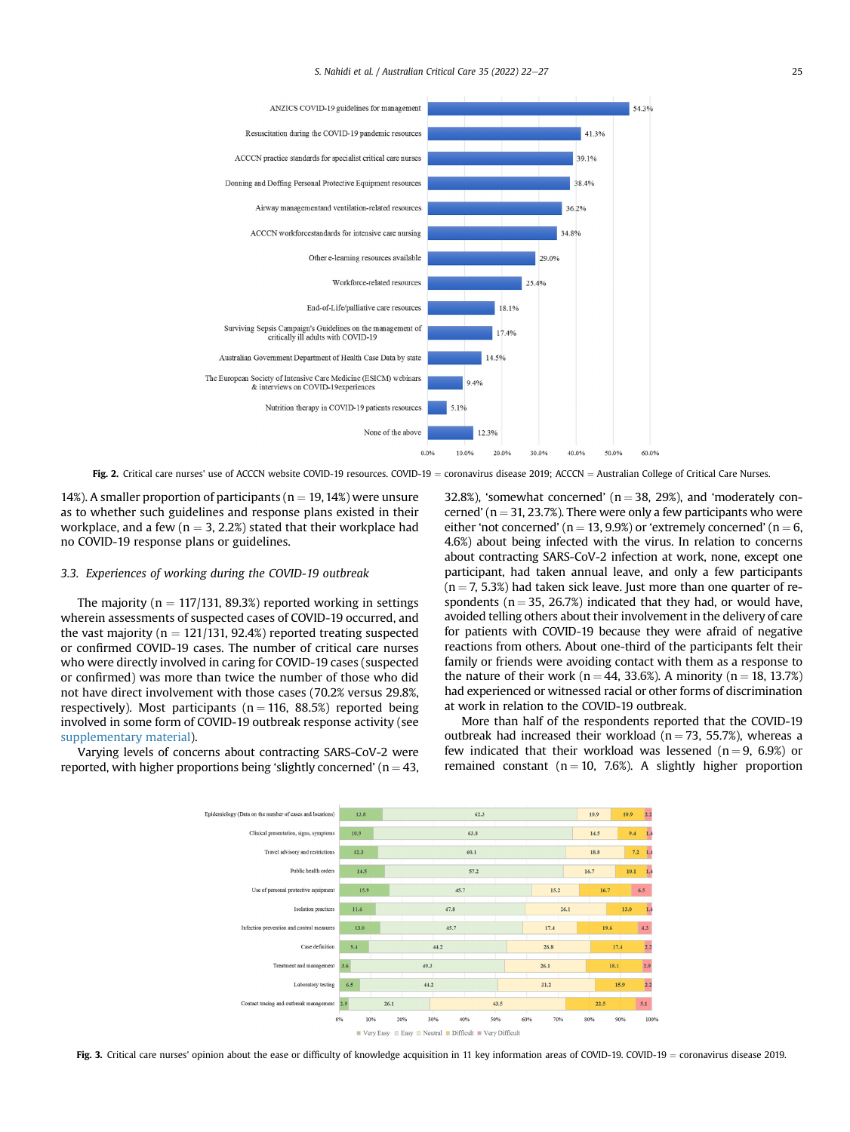<span id="page-3-0"></span>

Fig. 2. Critical care nurses' use of ACCCN website COVID-19 resources. COVID-19 = coronavirus disease 2019; ACCCN = Australian College of Critical Care Nurses.

14%). A smaller proportion of participants ( $n = 19, 14%$ ) were unsure as to whether such guidelines and response plans existed in their workplace, and a few ( $n = 3, 2.2%$ ) stated that their workplace had no COVID-19 response plans or guidelines.

## 3.3. Experiences of working during the COVID-19 outbreak

The majority ( $n = 117/131$ , 89.3%) reported working in settings wherein assessments of suspected cases of COVID-19 occurred, and the vast majority ( $n = 121/131$ , 92.4%) reported treating suspected or confirmed COVID-19 cases. The number of critical care nurses who were directly involved in caring for COVID-19 cases (suspected or confirmed) was more than twice the number of those who did not have direct involvement with those cases (70.2% versus 29.8%, respectively). Most participants ( $n = 116$ , 88.5%) reported being involved in some form of COVID-19 outbreak response activity (see supplementary material).

<span id="page-3-1"></span>Varying levels of concerns about contracting SARS-CoV-2 were reported, with higher proportions being 'slightly concerned' ( $n = 43$ , 32.8%), 'somewhat concerned' ( $n = 38$ , 29%), and 'moderately concerned' ( $n = 31, 23.7\%$ ). There were only a few participants who were either 'not concerned' ( $n = 13, 9.9%$ ) or 'extremely concerned' ( $n = 6$ , 4.6%) about being infected with the virus. In relation to concerns about contracting SARS-CoV-2 infection at work, none, except one participant, had taken annual leave, and only a few participants  $(n = 7, 5.3%)$  had taken sick leave. Just more than one quarter of respondents ( $n = 35$ , 26.7%) indicated that they had, or would have, avoided telling others about their involvement in the delivery of care for patients with COVID-19 because they were afraid of negative reactions from others. About one-third of the participants felt their family or friends were avoiding contact with them as a response to the nature of their work ( $n = 44, 33.6\%$ ). A minority ( $n = 18, 13.7\%$ ) had experienced or witnessed racial or other forms of discrimination at work in relation to the COVID-19 outbreak.

More than half of the respondents reported that the COVID-19 outbreak had increased their workload ( $n = 73$ , 55.7%), whereas a few indicated that their workload was lessened ( $n = 9, 6.9\%$ ) or remained constant ( $n = 10$ , 7.6%). A slightly higher proportion



Fig. 3. Critical care nurses' opinion about the ease or difficulty of knowledge acquisition in 11 key information areas of COVID-19. COVID-19 = coronavirus disease 2019.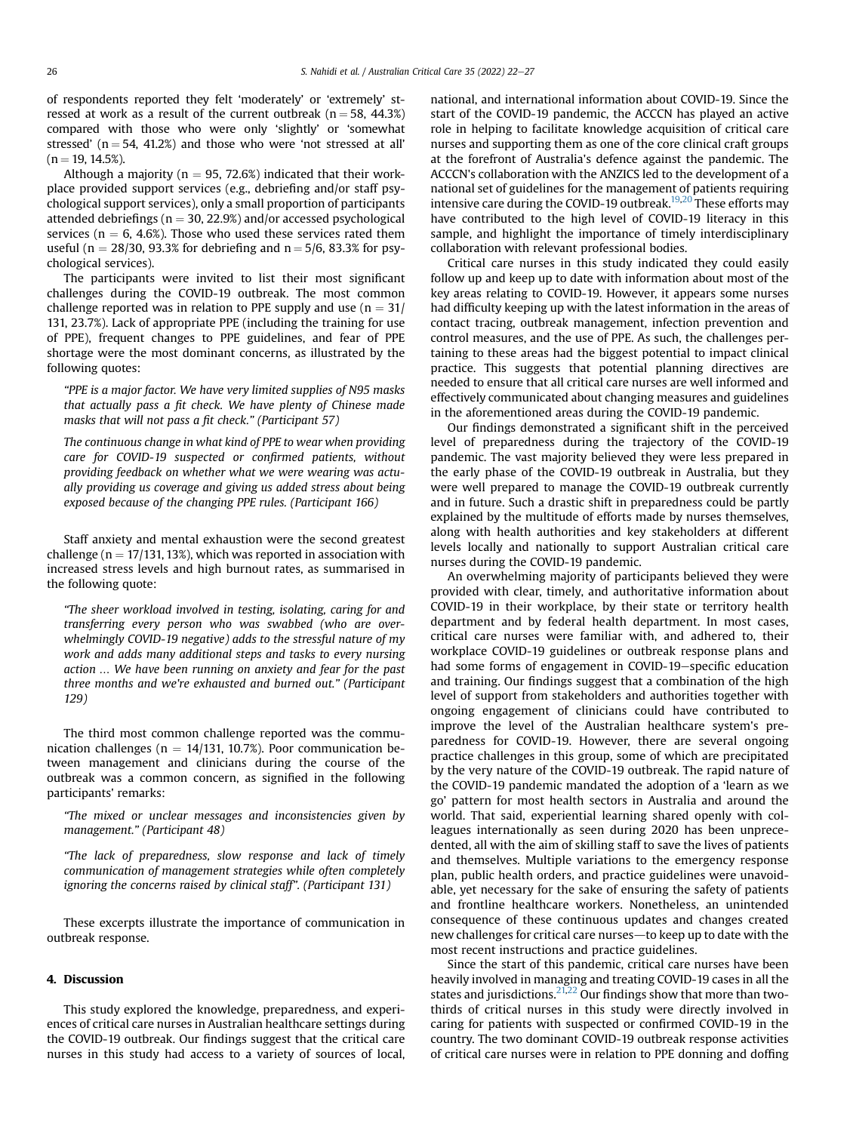of respondents reported they felt 'moderately' or 'extremely' stressed at work as a result of the current outbreak ( $n = 58$ , 44.3%) compared with those who were only 'slightly' or 'somewhat stressed' ( $n = 54$ , 41.2%) and those who were 'not stressed at all'  $(n = 19, 14.5\%)$ .

Although a majority ( $n = 95, 72.6\%$ ) indicated that their workplace provided support services (e.g., debriefing and/or staff psychological support services), only a small proportion of participants attended debriefings ( $n = 30, 22.9\%$ ) and/or accessed psychological services ( $n = 6, 4.6\%$ ). Those who used these services rated them useful (n = 28/30, 93.3% for debriefing and  $n = 5/6$ , 83.3% for psychological services).

The participants were invited to list their most significant challenges during the COVID-19 outbreak. The most common challenge reported was in relation to PPE supply and use ( $n = 31/$ ) 131, 23.7%). Lack of appropriate PPE (including the training for use of PPE), frequent changes to PPE guidelines, and fear of PPE shortage were the most dominant concerns, as illustrated by the following quotes:

"PPE is a major factor. We have very limited supplies of N95 masks that actually pass a fit check. We have plenty of Chinese made masks that will not pass a fit check." (Participant 57)

The continuous change in what kind of PPE to wear when providing care for COVID-19 suspected or confirmed patients, without providing feedback on whether what we were wearing was actually providing us coverage and giving us added stress about being exposed because of the changing PPE rules. (Participant 166)

Staff anxiety and mental exhaustion were the second greatest challenge ( $n = 17/131$ , 13%), which was reported in association with increased stress levels and high burnout rates, as summarised in the following quote:

"The sheer workload involved in testing, isolating, caring for and transferring every person who was swabbed (who are overwhelmingly COVID-19 negative) adds to the stressful nature of my work and adds many additional steps and tasks to every nursing action … We have been running on anxiety and fear for the past three months and we're exhausted and burned out." (Participant 129)

The third most common challenge reported was the communication challenges ( $n = 14/131$ , 10.7%). Poor communication between management and clinicians during the course of the outbreak was a common concern, as signified in the following participants' remarks:

"The mixed or unclear messages and inconsistencies given by management." (Participant 48)

"The lack of preparedness, slow response and lack of timely communication of management strategies while often completely ignoring the concerns raised by clinical staff". (Participant 131)

These excerpts illustrate the importance of communication in outbreak response.

## 4. Discussion

This study explored the knowledge, preparedness, and experiences of critical care nurses in Australian healthcare settings during the COVID-19 outbreak. Our findings suggest that the critical care nurses in this study had access to a variety of sources of local, national, and international information about COVID-19. Since the start of the COVID-19 pandemic, the ACCCN has played an active role in helping to facilitate knowledge acquisition of critical care nurses and supporting them as one of the core clinical craft groups at the forefront of Australia's defence against the pandemic. The ACCCN's collaboration with the ANZICS led to the development of a national set of guidelines for the management of patients requiring intensive care during the COVID-19 outbreak.<sup>19,[20](#page-5-15)</sup> These efforts may have contributed to the high level of COVID-19 literacy in this sample, and highlight the importance of timely interdisciplinary collaboration with relevant professional bodies.

Critical care nurses in this study indicated they could easily follow up and keep up to date with information about most of the key areas relating to COVID-19. However, it appears some nurses had difficulty keeping up with the latest information in the areas of contact tracing, outbreak management, infection prevention and control measures, and the use of PPE. As such, the challenges pertaining to these areas had the biggest potential to impact clinical practice. This suggests that potential planning directives are needed to ensure that all critical care nurses are well informed and effectively communicated about changing measures and guidelines in the aforementioned areas during the COVID-19 pandemic.

Our findings demonstrated a significant shift in the perceived level of preparedness during the trajectory of the COVID-19 pandemic. The vast majority believed they were less prepared in the early phase of the COVID-19 outbreak in Australia, but they were well prepared to manage the COVID-19 outbreak currently and in future. Such a drastic shift in preparedness could be partly explained by the multitude of efforts made by nurses themselves, along with health authorities and key stakeholders at different levels locally and nationally to support Australian critical care nurses during the COVID-19 pandemic.

An overwhelming majority of participants believed they were provided with clear, timely, and authoritative information about COVID-19 in their workplace, by their state or territory health department and by federal health department. In most cases, critical care nurses were familiar with, and adhered to, their workplace COVID-19 guidelines or outbreak response plans and had some forms of engagement in COVID-19-specific education and training. Our findings suggest that a combination of the high level of support from stakeholders and authorities together with ongoing engagement of clinicians could have contributed to improve the level of the Australian healthcare system's preparedness for COVID-19. However, there are several ongoing practice challenges in this group, some of which are precipitated by the very nature of the COVID-19 outbreak. The rapid nature of the COVID-19 pandemic mandated the adoption of a 'learn as we go' pattern for most health sectors in Australia and around the world. That said, experiential learning shared openly with colleagues internationally as seen during 2020 has been unprecedented, all with the aim of skilling staff to save the lives of patients and themselves. Multiple variations to the emergency response plan, public health orders, and practice guidelines were unavoidable, yet necessary for the sake of ensuring the safety of patients and frontline healthcare workers. Nonetheless, an unintended consequence of these continuous updates and changes created new challenges for critical care nurses—to keep up to date with the most recent instructions and practice guidelines.

Since the start of this pandemic, critical care nurses have been heavily involved in managing and treating COVID-19 cases in all the states and jurisdictions.<sup>[21,](#page-5-16)[22](#page-5-17)</sup> Our findings show that more than twothirds of critical nurses in this study were directly involved in caring for patients with suspected or confirmed COVID-19 in the country. The two dominant COVID-19 outbreak response activities of critical care nurses were in relation to PPE donning and doffing